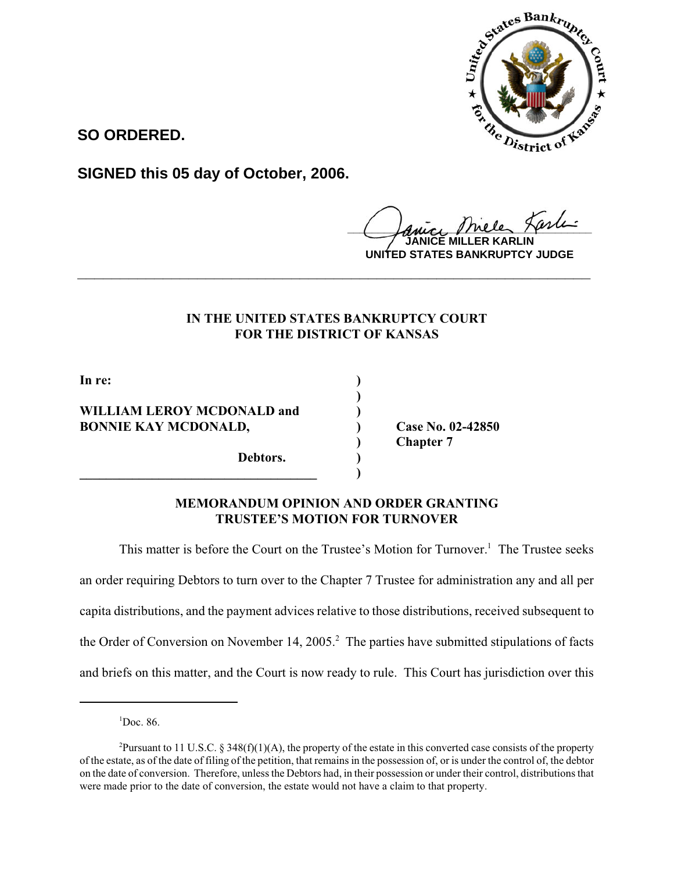

**SO ORDERED.**

**SIGNED this 05 day of October, 2006.**

 $r$ iele *Karlı* 

**JANICE MILLER KARLIN UNITED STATES BANKRUPTCY JUDGE**

# **IN THE UNITED STATES BANKRUPTCY COURT FOR THE DISTRICT OF KANSAS**

**\_\_\_\_\_\_\_\_\_\_\_\_\_\_\_\_\_\_\_\_\_\_\_\_\_\_\_\_\_\_\_\_\_\_\_\_\_\_\_\_\_\_\_\_\_\_\_\_\_\_\_\_\_\_\_\_\_\_\_\_**

**)**

**In re: )**

## **WILLIAM LEROY MCDONALD and ) BONNIE KAY MCDONALD, Case No. 02-42850**

**Debtors. ) \_\_\_\_\_\_\_\_\_\_\_\_\_\_\_\_\_\_\_\_\_\_\_\_\_\_\_\_\_\_\_\_\_\_\_\_ )** **) Chapter 7**

## **MEMORANDUM OPINION AND ORDER GRANTING TRUSTEE'S MOTION FOR TURNOVER**

This matter is before the Court on the Trustee's Motion for Turnover.<sup>1</sup> The Trustee seeks an order requiring Debtors to turn over to the Chapter 7 Trustee for administration any and all per capita distributions, and the payment advices relative to those distributions, received subsequent to the Order of Conversion on November 14, 2005.<sup>2</sup> The parties have submitted stipulations of facts and briefs on this matter, and the Court is now ready to rule. This Court has jurisdiction over this

1 Doc. 86.

<sup>&</sup>lt;sup>2</sup>Pursuant to 11 U.S.C. § 348(f)(1)(A), the property of the estate in this converted case consists of the property of the estate, as of the date of filing of the petition, that remains in the possession of, or is under the control of, the debtor on the date of conversion. Therefore, unless the Debtors had, in their possession or under their control, distributions that were made prior to the date of conversion, the estate would not have a claim to that property.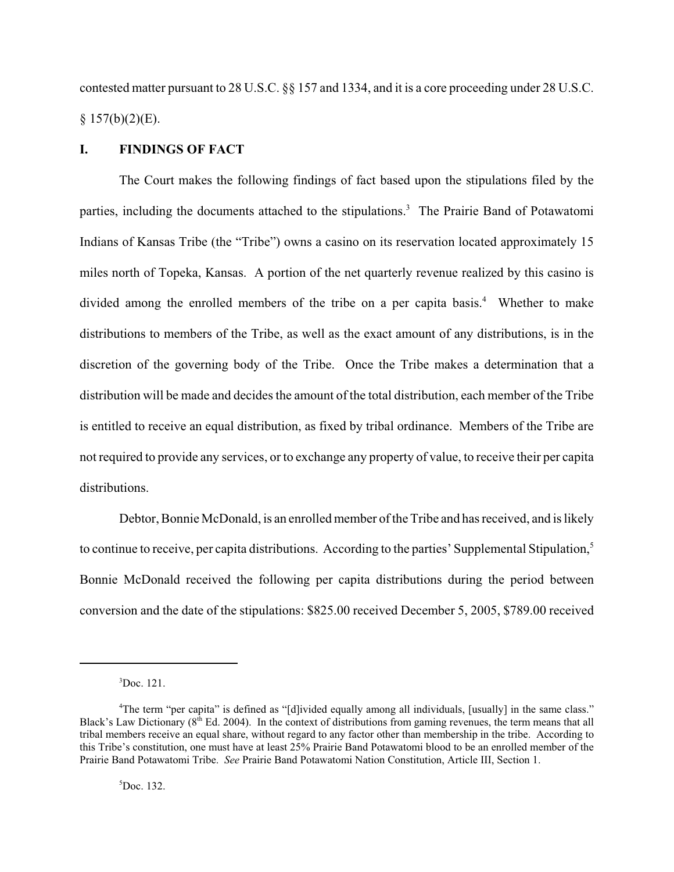contested matter pursuant to 28 U.S.C. §§ 157 and 1334, and it is a core proceeding under 28 U.S.C.  $§ 157(b)(2)(E).$ 

### **I. FINDINGS OF FACT**

The Court makes the following findings of fact based upon the stipulations filed by the parties, including the documents attached to the stipulations.<sup>3</sup> The Prairie Band of Potawatomi Indians of Kansas Tribe (the "Tribe") owns a casino on its reservation located approximately 15 miles north of Topeka, Kansas. A portion of the net quarterly revenue realized by this casino is divided among the enrolled members of the tribe on a per capita basis.<sup>4</sup> Whether to make distributions to members of the Tribe, as well as the exact amount of any distributions, is in the discretion of the governing body of the Tribe. Once the Tribe makes a determination that a distribution will be made and decides the amount of the total distribution, each member of the Tribe is entitled to receive an equal distribution, as fixed by tribal ordinance. Members of the Tribe are not required to provide any services, or to exchange any property of value, to receive their per capita distributions.

Debtor, Bonnie McDonald, is an enrolled member of the Tribe and has received, and is likely to continue to receive, per capita distributions. According to the parties' Supplemental Stipulation,<sup>5</sup> Bonnie McDonald received the following per capita distributions during the period between conversion and the date of the stipulations: \$825.00 received December 5, 2005, \$789.00 received

 ${}^{3}$ Doc. 121.

<sup>4</sup> The term "per capita" is defined as "[d]ivided equally among all individuals, [usually] in the same class." Black's Law Dictionary ( $8<sup>th</sup>$  Ed. 2004). In the context of distributions from gaming revenues, the term means that all tribal members receive an equal share, without regard to any factor other than membership in the tribe. According to this Tribe's constitution, one must have at least 25% Prairie Band Potawatomi blood to be an enrolled member of the Prairie Band Potawatomi Tribe. *See* Prairie Band Potawatomi Nation Constitution, Article III, Section 1.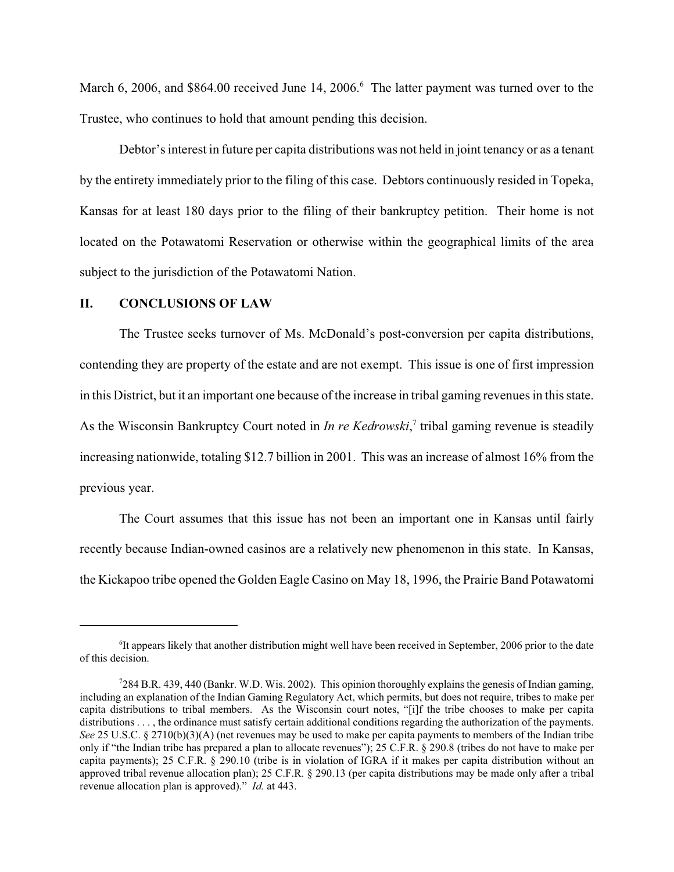March 6, 2006, and \$864.00 received June 14, 2006.<sup>6</sup> The latter payment was turned over to the Trustee, who continues to hold that amount pending this decision.

Debtor's interest in future per capita distributions was not held in joint tenancy or as a tenant by the entirety immediately prior to the filing of this case. Debtors continuously resided in Topeka, Kansas for at least 180 days prior to the filing of their bankruptcy petition. Their home is not located on the Potawatomi Reservation or otherwise within the geographical limits of the area subject to the jurisdiction of the Potawatomi Nation.

### **II. CONCLUSIONS OF LAW**

The Trustee seeks turnover of Ms. McDonald's post-conversion per capita distributions, contending they are property of the estate and are not exempt. This issue is one of first impression in this District, but it an important one because of the increase in tribal gaming revenues in this state. As the Wisconsin Bankruptcy Court noted in *In re Kedrowski*, 7 tribal gaming revenue is steadily increasing nationwide, totaling \$12.7 billion in 2001. This was an increase of almost 16% from the previous year.

The Court assumes that this issue has not been an important one in Kansas until fairly recently because Indian-owned casinos are a relatively new phenomenon in this state. In Kansas, the Kickapoo tribe opened the Golden Eagle Casino on May 18, 1996, the Prairie Band Potawatomi

<sup>&</sup>lt;sup>6</sup>It appears likely that another distribution might well have been received in September, 2006 prior to the date of this decision.

 $7284$  B.R. 439, 440 (Bankr. W.D. Wis. 2002). This opinion thoroughly explains the genesis of Indian gaming, including an explanation of the Indian Gaming Regulatory Act, which permits, but does not require, tribes to make per capita distributions to tribal members. As the Wisconsin court notes, "[i]f the tribe chooses to make per capita distributions . . . , the ordinance must satisfy certain additional conditions regarding the authorization of the payments. *See* 25 U.S.C. § 2710(b)(3)(A) (net revenues may be used to make per capita payments to members of the Indian tribe only if "the Indian tribe has prepared a plan to allocate revenues"); 25 C.F.R. § 290.8 (tribes do not have to make per capita payments); 25 C.F.R. § 290.10 (tribe is in violation of IGRA if it makes per capita distribution without an approved tribal revenue allocation plan); 25 C.F.R. § 290.13 (per capita distributions may be made only after a tribal revenue allocation plan is approved)." *Id.* at 443.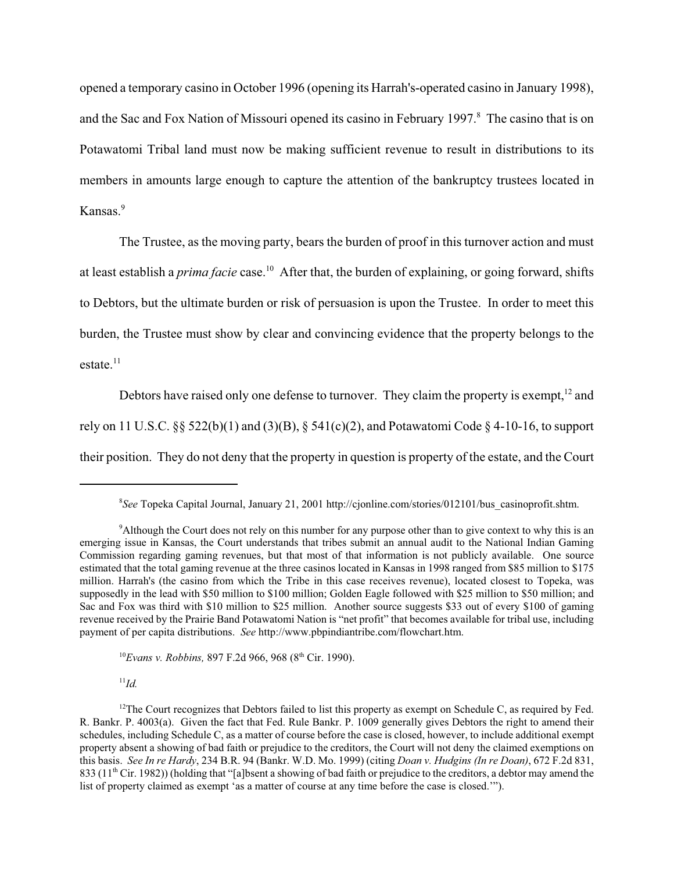opened a temporary casino in October 1996 (opening its Harrah's-operated casino in January 1998), and the Sac and Fox Nation of Missouri opened its casino in February 1997.<sup>8</sup> The casino that is on Potawatomi Tribal land must now be making sufficient revenue to result in distributions to its members in amounts large enough to capture the attention of the bankruptcy trustees located in Kansas.<sup>9</sup>

The Trustee, as the moving party, bears the burden of proof in this turnover action and must at least establish a *prima facie* case.<sup>10</sup> After that, the burden of explaining, or going forward, shifts to Debtors, but the ultimate burden or risk of persuasion is upon the Trustee. In order to meet this burden, the Trustee must show by clear and convincing evidence that the property belongs to the  $estate.<sup>11</sup>$ 

Debtors have raised only one defense to turnover. They claim the property is exempt,  $12$  and rely on 11 U.S.C.  $\S$ § 522(b)(1) and (3)(B), § 541(c)(2), and Potawatomi Code § 4-10-16, to support their position. They do not deny that the property in question is property of the estate, and the Court

<sup>10</sup>Evans v. Robbins, 897 F.2d 966, 968 (8<sup>th</sup> Cir. 1990).

 $^{11}Id.$ 

<sup>8</sup> *See* Topeka Capital Journal, January 21, 2001 http://cjonline.com/stories/012101/bus\_casinoprofit.shtm.

<sup>&</sup>lt;sup>9</sup>Although the Court does not rely on this number for any purpose other than to give context to why this is an emerging issue in Kansas, the Court understands that tribes submit an annual audit to the National Indian Gaming Commission regarding gaming revenues, but that most of that information is not publicly available. One source estimated that the total gaming revenue at the three casinos located in Kansas in 1998 ranged from \$85 million to \$175 million. Harrah's (the casino from which the Tribe in this case receives revenue), located closest to Topeka, was supposedly in the lead with \$50 million to \$100 million; Golden Eagle followed with \$25 million to \$50 million; and Sac and Fox was third with \$10 million to \$25 million. Another source suggests \$33 out of every \$100 of gaming revenue received by the Prairie Band Potawatomi Nation is "net profit" that becomes available for tribal use, including payment of per capita distributions. *See* http://www.pbpindiantribe.com/flowchart.htm.

<sup>&</sup>lt;sup>12</sup>The Court recognizes that Debtors failed to list this property as exempt on Schedule C, as required by Fed. R. Bankr. P. 4003(a). Given the fact that Fed. Rule Bankr. P. 1009 generally gives Debtors the right to amend their schedules, including Schedule C, as a matter of course before the case is closed, however, to include additional exempt property absent a showing of bad faith or prejudice to the creditors, the Court will not deny the claimed exemptions on this basis. *See In re Hardy*, 234 B.R. 94 (Bankr. W.D. Mo. 1999) (citing *Doan v. Hudgins (In re Doan)*, 672 F.2d 831, 833 ( $11<sup>th</sup>$  Cir. 1982)) (holding that "[a]bsent a showing of bad faith or prejudice to the creditors, a debtor may amend the list of property claimed as exempt 'as a matter of course at any time before the case is closed.'").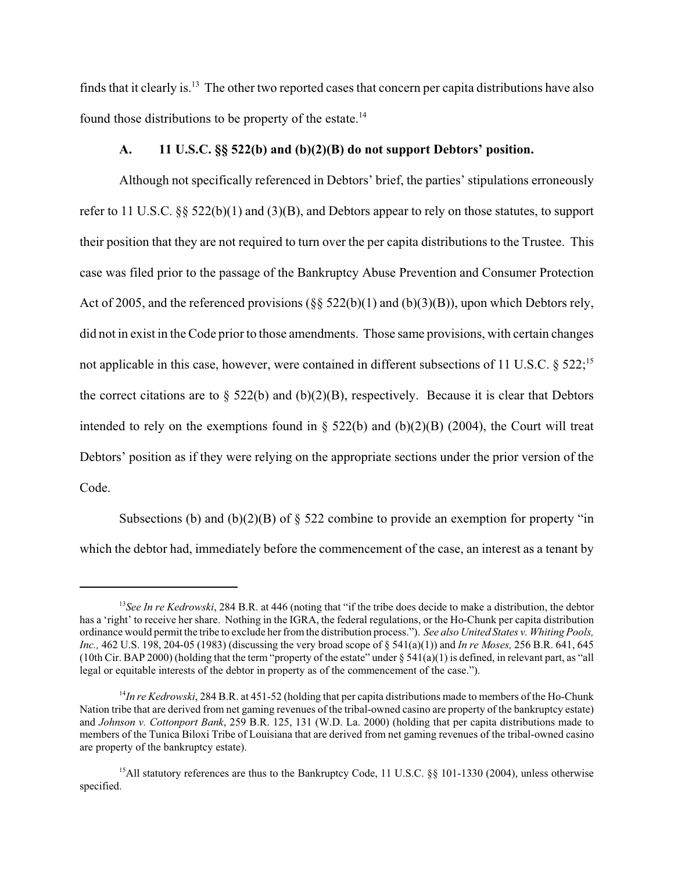finds that it clearly is.13 The other two reported cases that concern per capita distributions have also found those distributions to be property of the estate.14

#### **A. 11 U.S.C. §§ 522(b) and (b)(2)(B) do not support Debtors' position.**

Although not specifically referenced in Debtors' brief, the parties' stipulations erroneously refer to 11 U.S.C. §§ 522(b)(1) and (3)(B), and Debtors appear to rely on those statutes, to support their position that they are not required to turn over the per capita distributions to the Trustee. This case was filed prior to the passage of the Bankruptcy Abuse Prevention and Consumer Protection Act of 2005, and the referenced provisions (§§ 522(b)(1) and (b)(3)(B)), upon which Debtors rely, did not in exist in the Code prior to those amendments. Those same provisions, with certain changes not applicable in this case, however, were contained in different subsections of 11 U.S.C. § 522;<sup>15</sup> the correct citations are to  $\S$  522(b) and (b)(2)(B), respectively. Because it is clear that Debtors intended to rely on the exemptions found in  $\S$  522(b) and (b)(2)(B) (2004), the Court will treat Debtors' position as if they were relying on the appropriate sections under the prior version of the Code.

Subsections (b) and (b)(2)(B) of  $\S$  522 combine to provide an exemption for property "in which the debtor had, immediately before the commencement of the case, an interest as a tenant by

<sup>&</sup>lt;sup>13</sup>See In re Kedrowski, 284 B.R. at 446 (noting that "if the tribe does decide to make a distribution, the debtor has a 'right' to receive her share. Nothing in the IGRA, the federal regulations, or the Ho-Chunk per capita distribution ordinance would permit the tribe to exclude her from the distribution process."). *See also United States v. Whiting Pools, Inc.,* 462 U.S. 198, 204-05 (1983) (discussing the very broad scope of § 541(a)(1)) and *In re Moses,* 256 B.R. 641, 645 (10th Cir. BAP 2000) (holding that the term "property of the estate" under  $\S 541(a)(1)$  is defined, in relevant part, as "all legal or equitable interests of the debtor in property as of the commencement of the case.").

<sup>&</sup>lt;sup>14</sup>*In re Kedrowski*, 284 B.R. at 451-52 (holding that per capita distributions made to members of the Ho-Chunk Nation tribe that are derived from net gaming revenues of the tribal-owned casino are property of the bankruptcy estate) and *Johnson v. Cottonport Bank*, 259 B.R. 125, 131 (W.D. La. 2000) (holding that per capita distributions made to members of the Tunica Biloxi Tribe of Louisiana that are derived from net gaming revenues of the tribal-owned casino are property of the bankruptcy estate).

<sup>&</sup>lt;sup>15</sup>All statutory references are thus to the Bankruptcy Code, 11 U.S.C. §§ 101-1330 (2004), unless otherwise specified.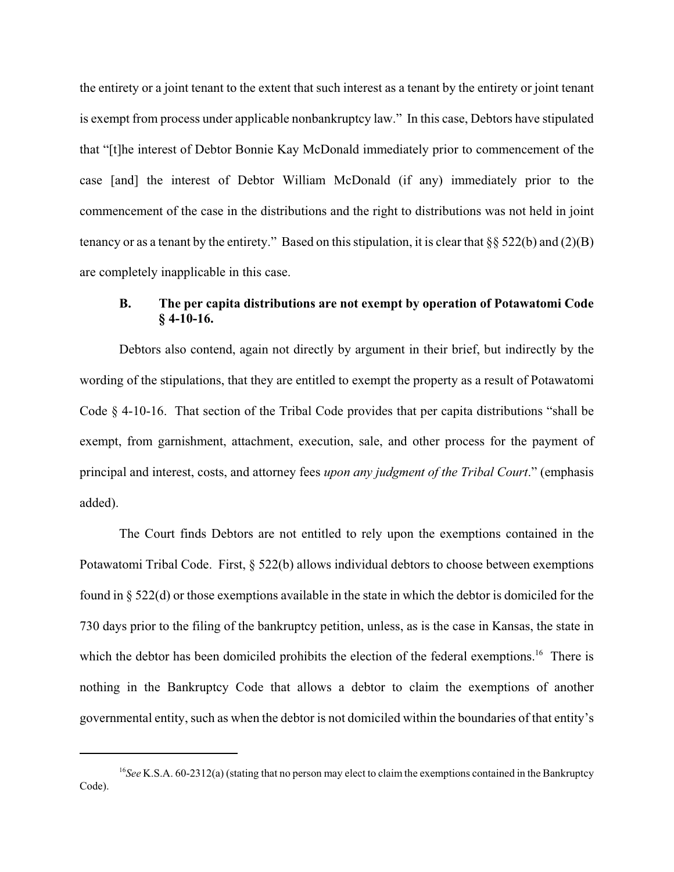the entirety or a joint tenant to the extent that such interest as a tenant by the entirety or joint tenant is exempt from process under applicable nonbankruptcy law." In this case, Debtors have stipulated that "[t]he interest of Debtor Bonnie Kay McDonald immediately prior to commencement of the case [and] the interest of Debtor William McDonald (if any) immediately prior to the commencement of the case in the distributions and the right to distributions was not held in joint tenancy or as a tenant by the entirety." Based on this stipulation, it is clear that  $\S$ § 522(b) and (2)(B) are completely inapplicable in this case.

### **B. The per capita distributions are not exempt by operation of Potawatomi Code § 4-10-16.**

Debtors also contend, again not directly by argument in their brief, but indirectly by the wording of the stipulations, that they are entitled to exempt the property as a result of Potawatomi Code § 4-10-16. That section of the Tribal Code provides that per capita distributions "shall be exempt, from garnishment, attachment, execution, sale, and other process for the payment of principal and interest, costs, and attorney fees *upon any judgment of the Tribal Court*." (emphasis added).

The Court finds Debtors are not entitled to rely upon the exemptions contained in the Potawatomi Tribal Code. First, § 522(b) allows individual debtors to choose between exemptions found in § 522(d) or those exemptions available in the state in which the debtor is domiciled for the 730 days prior to the filing of the bankruptcy petition, unless, as is the case in Kansas, the state in which the debtor has been domiciled prohibits the election of the federal exemptions.<sup>16</sup> There is nothing in the Bankruptcy Code that allows a debtor to claim the exemptions of another governmental entity, such as when the debtor is not domiciled within the boundaries of that entity's

<sup>&</sup>lt;sup>16</sup>See K.S.A. 60-2312(a) (stating that no person may elect to claim the exemptions contained in the Bankruptcy Code).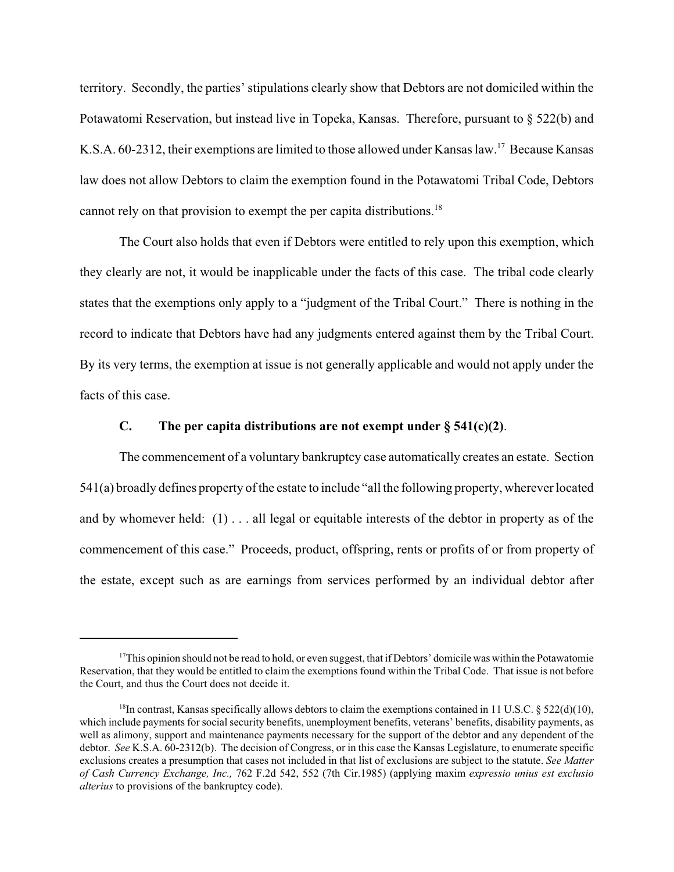territory. Secondly, the parties' stipulations clearly show that Debtors are not domiciled within the Potawatomi Reservation, but instead live in Topeka, Kansas. Therefore, pursuant to § 522(b) and K.S.A. 60-2312, their exemptions are limited to those allowed under Kansas law.<sup>17</sup> Because Kansas law does not allow Debtors to claim the exemption found in the Potawatomi Tribal Code, Debtors cannot rely on that provision to exempt the per capita distributions.<sup>18</sup>

The Court also holds that even if Debtors were entitled to rely upon this exemption, which they clearly are not, it would be inapplicable under the facts of this case. The tribal code clearly states that the exemptions only apply to a "judgment of the Tribal Court." There is nothing in the record to indicate that Debtors have had any judgments entered against them by the Tribal Court. By its very terms, the exemption at issue is not generally applicable and would not apply under the facts of this case.

#### **C. The per capita distributions are not exempt under § 541(c)(2)**.

The commencement of a voluntary bankruptcy case automatically creates an estate. Section 541(a) broadly defines property of the estate to include "all the following property, wherever located and by whomever held: (1) . . . all legal or equitable interests of the debtor in property as of the commencement of this case." Proceeds, product, offspring, rents or profits of or from property of the estate, except such as are earnings from services performed by an individual debtor after

<sup>&</sup>lt;sup>17</sup>This opinion should not be read to hold, or even suggest, that if Debtors' domicile was within the Potawatomie Reservation, that they would be entitled to claim the exemptions found within the Tribal Code. That issue is not before the Court, and thus the Court does not decide it.

<sup>&</sup>lt;sup>18</sup>In contrast, Kansas specifically allows debtors to claim the exemptions contained in 11 U.S.C. § 522(d)(10), which include payments for social security benefits, unemployment benefits, veterans' benefits, disability payments, as well as alimony, support and maintenance payments necessary for the support of the debtor and any dependent of the debtor. *See* K.S.A. 60-2312(b). The decision of Congress, or in this case the Kansas Legislature, to enumerate specific exclusions creates a presumption that cases not included in that list of exclusions are subject to the statute. *See Matter of Cash Currency Exchange, Inc.,* 762 F.2d 542, 552 (7th Cir.1985) (applying maxim *expressio unius est exclusio alterius* to provisions of the bankruptcy code).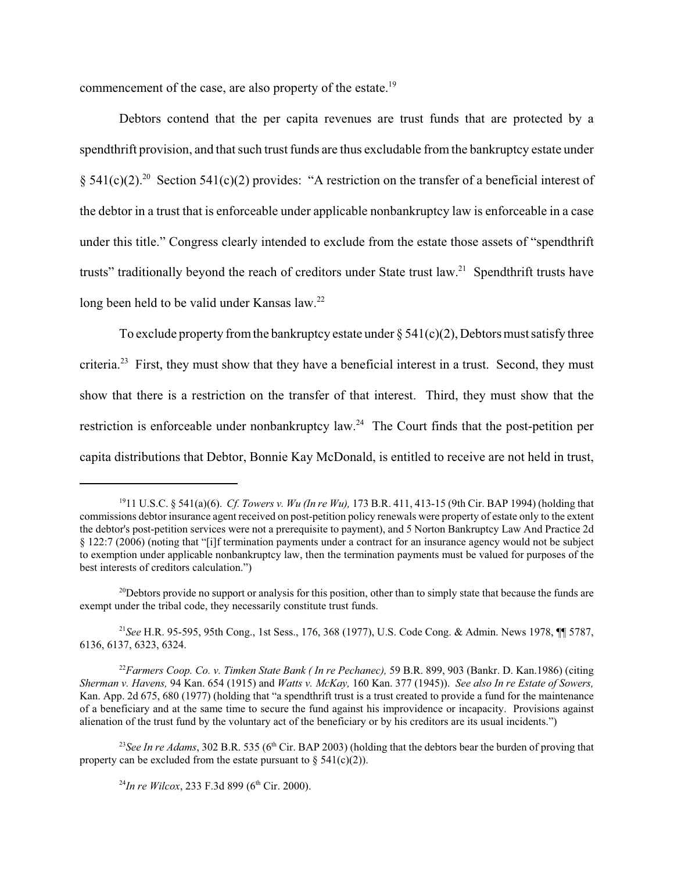commencement of the case, are also property of the estate.<sup>19</sup>

Debtors contend that the per capita revenues are trust funds that are protected by a spendthrift provision, and that such trust funds are thus excludable from the bankruptcy estate under § 541(c)(2).<sup>20</sup> Section 541(c)(2) provides: "A restriction on the transfer of a beneficial interest of the debtor in a trust that is enforceable under applicable nonbankruptcy law is enforceable in a case under this title." Congress clearly intended to exclude from the estate those assets of "spendthrift trusts" traditionally beyond the reach of creditors under State trust law.<sup>21</sup> Spendthrift trusts have long been held to be valid under Kansas law.<sup>22</sup>

To exclude property from the bankruptcy estate under  $\S 541(c)(2)$ , Debtors must satisfy three criteria.<sup>23</sup> First, they must show that they have a beneficial interest in a trust. Second, they must show that there is a restriction on the transfer of that interest. Third, they must show that the restriction is enforceable under nonbankruptcy law.<sup>24</sup> The Court finds that the post-petition per capita distributions that Debtor, Bonnie Kay McDonald, is entitled to receive are not held in trust,

<sup>1911</sup> U.S.C. § 541(a)(6). *Cf. Towers v. Wu (In re Wu),* 173 B.R. 411, 413-15 (9th Cir. BAP 1994) (holding that commissions debtor insurance agent received on post-petition policy renewals were property of estate only to the extent the debtor's post-petition services were not a prerequisite to payment), and 5 Norton Bankruptcy Law And Practice 2d § 122:7 (2006) (noting that "[i]f termination payments under a contract for an insurance agency would not be subject to exemption under applicable nonbankruptcy law, then the termination payments must be valued for purposes of the best interests of creditors calculation.")

 $^{20}$ Debtors provide no support or analysis for this position, other than to simply state that because the funds are exempt under the tribal code, they necessarily constitute trust funds.

<sup>21</sup>*See* H.R. 95-595, 95th Cong., 1st Sess., 176, 368 (1977), U.S. Code Cong. & Admin. News 1978, ¶¶ 5787, 6136, 6137, 6323, 6324.

<sup>22</sup>*Farmers Coop. Co. v. Timken State Bank ( In re Pechanec),* 59 B.R. 899, 903 (Bankr. D. Kan.1986) (citing *Sherman v. Havens,* 94 Kan. 654 (1915) and *Watts v. McKay,* 160 Kan. 377 (1945)). *See also In re Estate of Sowers,* Kan. App. 2d 675, 680 (1977) (holding that "a spendthrift trust is a trust created to provide a fund for the maintenance of a beneficiary and at the same time to secure the fund against his improvidence or incapacity. Provisions against alienation of the trust fund by the voluntary act of the beneficiary or by his creditors are its usual incidents.")

<sup>&</sup>lt;sup>23</sup>See In re Adams, 302 B.R. 535 (6<sup>th</sup> Cir. BAP 2003) (holding that the debtors bear the burden of proving that property can be excluded from the estate pursuant to  $\S$  541(c)(2)).

<sup>&</sup>lt;sup>24</sup>*In re Wilcox*, 233 F.3d 899 (6<sup>th</sup> Cir. 2000).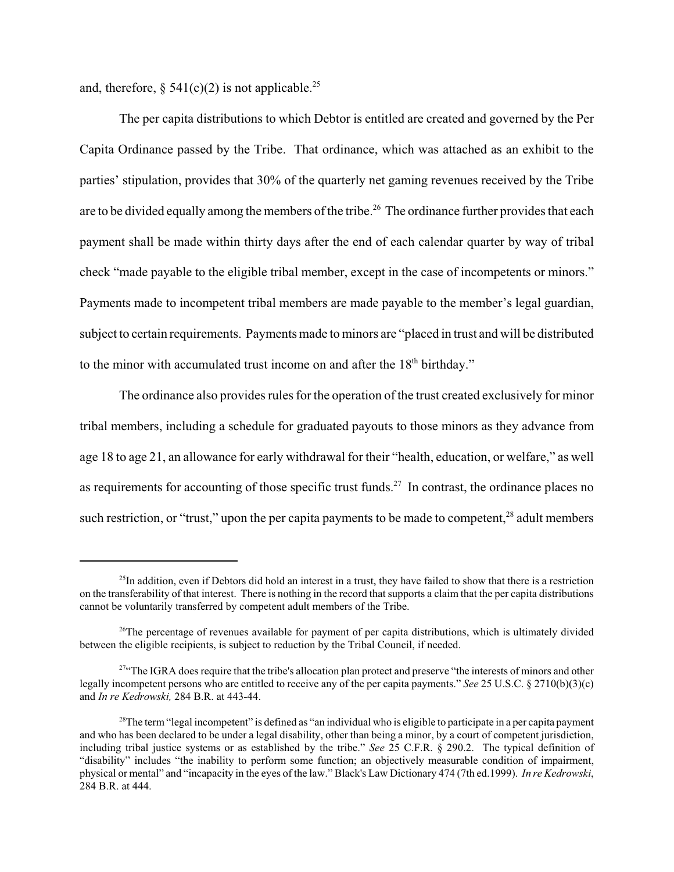and, therefore,  $\S$  541(c)(2) is not applicable.<sup>25</sup>

The per capita distributions to which Debtor is entitled are created and governed by the Per Capita Ordinance passed by the Tribe. That ordinance, which was attached as an exhibit to the parties' stipulation, provides that 30% of the quarterly net gaming revenues received by the Tribe are to be divided equally among the members of the tribe.<sup>26</sup> The ordinance further provides that each payment shall be made within thirty days after the end of each calendar quarter by way of tribal check "made payable to the eligible tribal member, except in the case of incompetents or minors." Payments made to incompetent tribal members are made payable to the member's legal guardian, subject to certain requirements. Payments made to minors are "placed in trust and will be distributed to the minor with accumulated trust income on and after the 18<sup>th</sup> birthday."

The ordinance also provides rules for the operation of the trust created exclusively for minor tribal members, including a schedule for graduated payouts to those minors as they advance from age 18 to age 21, an allowance for early withdrawal for their "health, education, or welfare," as well as requirements for accounting of those specific trust funds.<sup>27</sup> In contrast, the ordinance places no such restriction, or "trust," upon the per capita payments to be made to competent,<sup>28</sup> adult members

 $^{25}$ In addition, even if Debtors did hold an interest in a trust, they have failed to show that there is a restriction on the transferability of that interest. There is nothing in the record that supports a claim that the per capita distributions cannot be voluntarily transferred by competent adult members of the Tribe.

 $^{26}$ The percentage of revenues available for payment of per capita distributions, which is ultimately divided between the eligible recipients, is subject to reduction by the Tribal Council, if needed.

<sup>&</sup>lt;sup>27"</sup>The IGRA does require that the tribe's allocation plan protect and preserve "the interests of minors and other legally incompetent persons who are entitled to receive any of the per capita payments." *See* 25 U.S.C. § 2710(b)(3)(c) and *In re Kedrowski,* 284 B.R. at 443-44.

 $28$ The term "legal incompetent" is defined as "an individual who is eligible to participate in a per capita payment and who has been declared to be under a legal disability, other than being a minor, by a court of competent jurisdiction, including tribal justice systems or as established by the tribe." *See* 25 C.F.R. § 290.2. The typical definition of "disability" includes "the inability to perform some function; an objectively measurable condition of impairment, physical or mental" and "incapacity in the eyes of the law." Black's Law Dictionary 474 (7th ed.1999). *In re Kedrowski*, 284 B.R. at 444.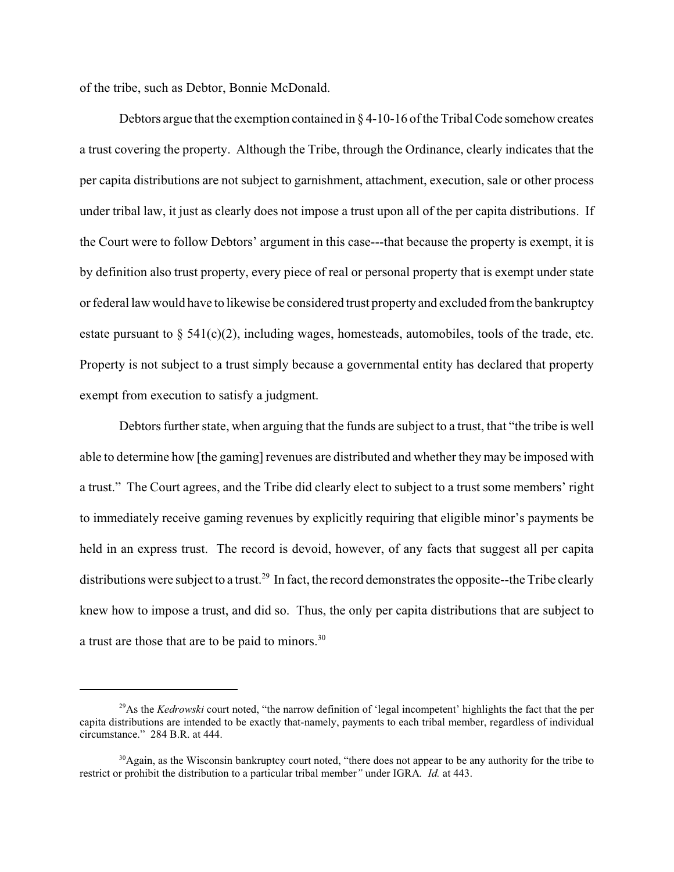of the tribe, such as Debtor, Bonnie McDonald.

Debtors argue that the exemption contained in  $\S 4$ -10-16 of the Tribal Code somehow creates a trust covering the property. Although the Tribe, through the Ordinance, clearly indicates that the per capita distributions are not subject to garnishment, attachment, execution, sale or other process under tribal law, it just as clearly does not impose a trust upon all of the per capita distributions. If the Court were to follow Debtors' argument in this case---that because the property is exempt, it is by definition also trust property, every piece of real or personal property that is exempt under state or federal law would have to likewise be considered trust property and excluded from the bankruptcy estate pursuant to  $\S$  541(c)(2), including wages, homesteads, automobiles, tools of the trade, etc. Property is not subject to a trust simply because a governmental entity has declared that property exempt from execution to satisfy a judgment.

Debtors further state, when arguing that the funds are subject to a trust, that "the tribe is well able to determine how [the gaming] revenues are distributed and whether they may be imposed with a trust." The Court agrees, and the Tribe did clearly elect to subject to a trust some members' right to immediately receive gaming revenues by explicitly requiring that eligible minor's payments be held in an express trust. The record is devoid, however, of any facts that suggest all per capita distributions were subject to a trust.<sup>29</sup> In fact, the record demonstrates the opposite--the Tribe clearly knew how to impose a trust, and did so. Thus, the only per capita distributions that are subject to a trust are those that are to be paid to minors.30

<sup>&</sup>lt;sup>29</sup>As the *Kedrowski* court noted, "the narrow definition of 'legal incompetent' highlights the fact that the per capita distributions are intended to be exactly that-namely, payments to each tribal member, regardless of individual circumstance." 284 B.R. at 444.

 $30$ Again, as the Wisconsin bankruptcy court noted, "there does not appear to be any authority for the tribe to restrict or prohibit the distribution to a particular tribal member*"* under IGRA*. Id.* at 443.